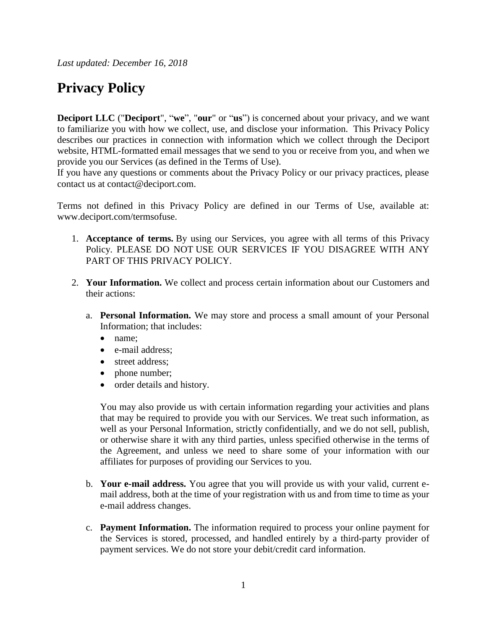*Last updated: December 16, 2018*

## **Privacy Policy**

**Deciport LLC** ("**Deciport**", "**we**", "**our**" or "**us**") is concerned about your privacy, and we want to familiarize you with how we collect, use, and disclose your information. This Privacy Policy describes our practices in connection with information which we collect through the Deciport website, HTML-formatted email messages that we send to you or receive from you, and when we provide you our Services (as defined in the Terms of Use).

If you have any questions or comments about the Privacy Policy or our privacy practices, please contact us at contact@deciport.com.

Terms not defined in this Privacy Policy are defined in our Terms of Use, available at: www.deciport.com/termsofuse.

- 1. **Acceptance of terms.** By using our Services, you agree with all terms of this Privacy Policy. PLEASE DO NOT USE OUR SERVICES IF YOU DISAGREE WITH ANY PART OF THIS PRIVACY POLICY.
- 2. **Your Information.** We collect and process certain information about our Customers and their actions:
	- a. **Personal Information.** We may store and process a small amount of your Personal Information; that includes:
		- name;
		- e-mail address;
		- street address:
		- phone number;
		- order details and history.

You may also provide us with certain information regarding your activities and plans that may be required to provide you with our Services. We treat such information, as well as your Personal Information, strictly confidentially, and we do not sell, publish, or otherwise share it with any third parties, unless specified otherwise in the terms of the Agreement, and unless we need to share some of your information with our affiliates for purposes of providing our Services to you.

- b. **Your e-mail address.** You agree that you will provide us with your valid, current email address, both at the time of your registration with us and from time to time as your e-mail address changes.
- c. **Payment Information.** The information required to process your online payment for the Services is stored, processed, and handled entirely by a third-party provider of payment services. We do not store your debit/credit card information.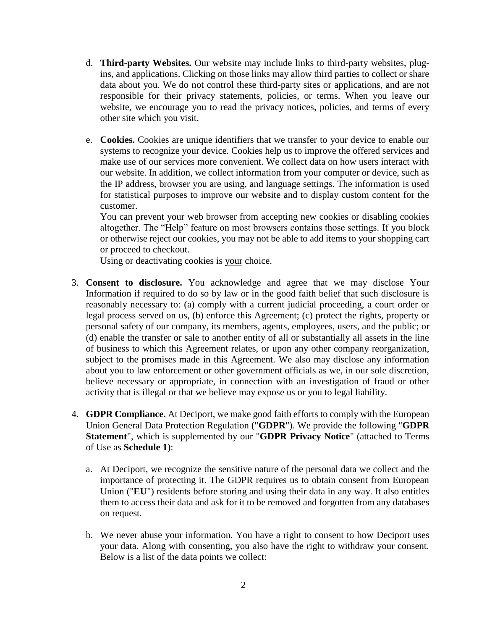- d. **Third-party Websites.** Our website may include links to third-party websites, plugins, and applications. Clicking on those links may allow third parties to collect or share data about you. We do not control these third-party sites or applications, and are not responsible for their privacy statements, policies, or terms. When you leave our website, we encourage you to read the privacy notices, policies, and terms of every other site which you visit.
- e. **Cookies.** Cookies are unique identifiers that we transfer to your device to enable our systems to recognize your device. Cookies help us to improve the offered services and make use of our services more convenient. We collect data on how users interact with our website. In addition, we collect information from your computer or device, such as the IP address, browser you are using, and language settings. The information is used for statistical purposes to improve our website and to display custom content for the customer.

You can prevent your web browser from accepting new cookies or disabling cookies altogether. The "Help" feature on most browsers contains those settings. If you block or otherwise reject our cookies, you may not be able to add items to your shopping cart or proceed to checkout.

Using or deactivating cookies is your choice.

- 3. **Consent to disclosure.** You acknowledge and agree that we may disclose Your Information if required to do so by law or in the good faith belief that such disclosure is reasonably necessary to: (a) comply with a current judicial proceeding, a court order or legal process served on us, (b) enforce this Agreement; (c) protect the rights, property or personal safety of our company, its members, agents, employees, users, and the public; or (d) enable the transfer or sale to another entity of all or substantially all assets in the line of business to which this Agreement relates, or upon any other company reorganization, subject to the promises made in this Agreement. We also may disclose any information about you to law enforcement or other government officials as we, in our sole discretion, believe necessary or appropriate, in connection with an investigation of fraud or other activity that is illegal or that we believe may expose us or you to legal liability.
- 4. **GDPR Compliance.** At Deciport, we make good faith efforts to comply with the European Union General Data Protection Regulation ("**GDPR**"). We provide the following "**GDPR Statement**", which is supplemented by our "**GDPR Privacy Notice**" (attached to Terms of Use as **Schedule 1**):
	- a. At Deciport, we recognize the sensitive nature of the personal data we collect and the importance of protecting it. The GDPR requires us to obtain consent from European Union ("**EU**") residents before storing and using their data in any way. It also entitles them to access their data and ask for it to be removed and forgotten from any databases on request.
	- b. We never abuse your information. You have a right to consent to how Deciport uses your data. Along with consenting, you also have the right to withdraw your consent. Below is a list of the data points we collect: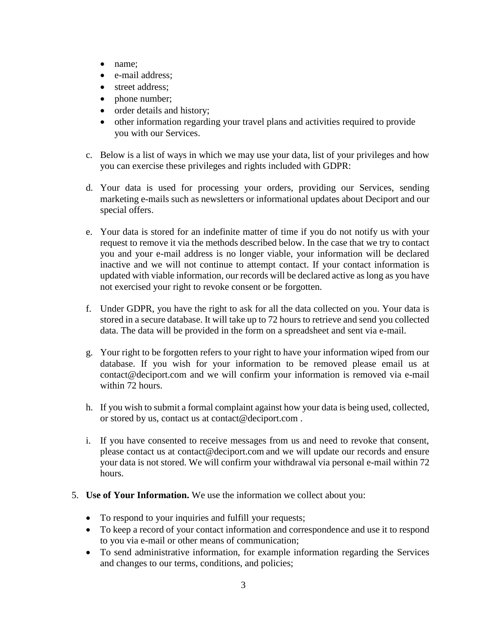- name;
- e-mail address;
- street address;
- phone number;
- order details and history;
- other information regarding your travel plans and activities required to provide you with our Services.
- c. Below is a list of ways in which we may use your data, list of your privileges and how you can exercise these privileges and rights included with GDPR:
- d. Your data is used for processing your orders, providing our Services, sending marketing e-mails such as newsletters or informational updates about Deciport and our special offers.
- e. Your data is stored for an indefinite matter of time if you do not notify us with your request to remove it via the methods described below. In the case that we try to contact you and your e-mail address is no longer viable, your information will be declared inactive and we will not continue to attempt contact. If your contact information is updated with viable information, our records will be declared active as long as you have not exercised your right to revoke consent or be forgotten.
- f. Under GDPR, you have the right to ask for all the data collected on you. Your data is stored in a secure database. It will take up to 72 hours to retrieve and send you collected data. The data will be provided in the form on a spreadsheet and sent via e-mail.
- g. Your right to be forgotten refers to your right to have your information wiped from our database. If you wish for your information to be removed please email us at contact@deciport.com and we will confirm your information is removed via e-mail within 72 hours.
- h. If you wish to submit a formal complaint against how your data is being used, collected, or stored by us, contact us at contact@deciport.com .
- i. If you have consented to receive messages from us and need to revoke that consent, please contact us at contact@deciport.com and we will update our records and ensure your data is not stored. We will confirm your withdrawal via personal e-mail within 72 hours.
- 5. **Use of Your Information.** We use the information we collect about you:
	- To respond to your inquiries and fulfill your requests;
	- To keep a record of your contact information and correspondence and use it to respond to you via e-mail or other means of communication;
	- To send administrative information, for example information regarding the Services and changes to our terms, conditions, and policies;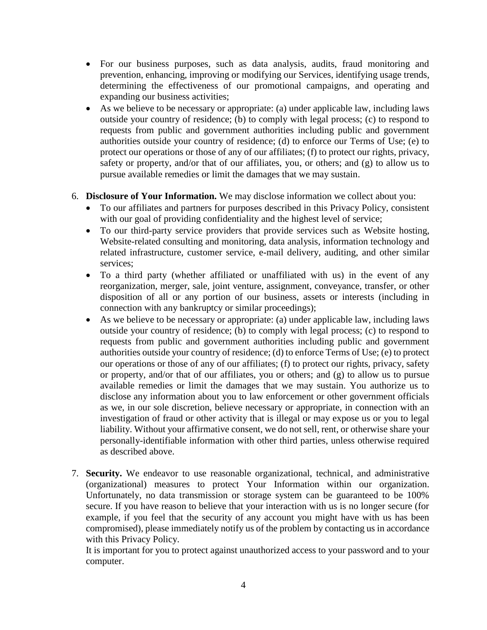- For our business purposes, such as data analysis, audits, fraud monitoring and prevention, enhancing, improving or modifying our Services, identifying usage trends, determining the effectiveness of our promotional campaigns, and operating and expanding our business activities;
- As we believe to be necessary or appropriate: (a) under applicable law, including laws outside your country of residence; (b) to comply with legal process; (c) to respond to requests from public and government authorities including public and government authorities outside your country of residence; (d) to enforce our Terms of Use; (e) to protect our operations or those of any of our affiliates; (f) to protect our rights, privacy, safety or property, and/or that of our affiliates, you, or others; and (g) to allow us to pursue available remedies or limit the damages that we may sustain.

## 6. **Disclosure of Your Information.** We may disclose information we collect about you:

- To our affiliates and partners for purposes described in this Privacy Policy, consistent with our goal of providing confidentiality and the highest level of service;
- To our third-party service providers that provide services such as Website hosting, Website-related consulting and monitoring, data analysis, information technology and related infrastructure, customer service, e-mail delivery, auditing, and other similar services;
- To a third party (whether affiliated or unaffiliated with us) in the event of any reorganization, merger, sale, joint venture, assignment, conveyance, transfer, or other disposition of all or any portion of our business, assets or interests (including in connection with any bankruptcy or similar proceedings);
- As we believe to be necessary or appropriate: (a) under applicable law, including laws outside your country of residence; (b) to comply with legal process; (c) to respond to requests from public and government authorities including public and government authorities outside your country of residence; (d) to enforce Terms of Use; (e) to protect our operations or those of any of our affiliates; (f) to protect our rights, privacy, safety or property, and/or that of our affiliates, you or others; and (g) to allow us to pursue available remedies or limit the damages that we may sustain. You authorize us to disclose any information about you to law enforcement or other government officials as we, in our sole discretion, believe necessary or appropriate, in connection with an investigation of fraud or other activity that is illegal or may expose us or you to legal liability. Without your affirmative consent, we do not sell, rent, or otherwise share your personally-identifiable information with other third parties, unless otherwise required as described above.
- 7. **Security.** We endeavor to use reasonable organizational, technical, and administrative (organizational) measures to protect Your Information within our organization. Unfortunately, no data transmission or storage system can be guaranteed to be 100% secure. If you have reason to believe that your interaction with us is no longer secure (for example, if you feel that the security of any account you might have with us has been compromised), please immediately notify us of the problem by contacting us in accordance with this Privacy Policy.

It is important for you to protect against unauthorized access to your password and to your computer.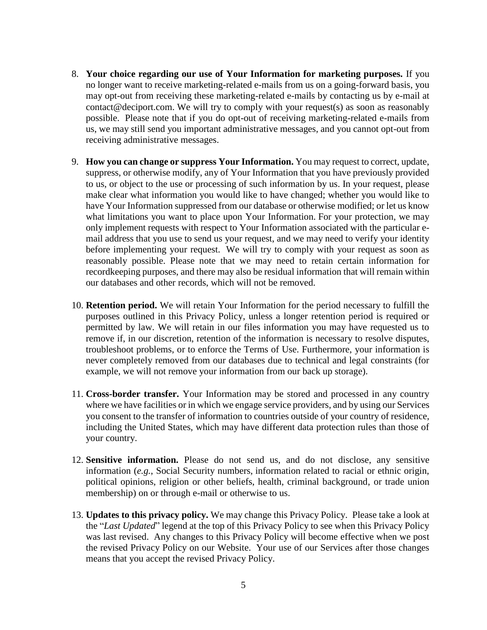- 8. **Your choice regarding our use of Your Information for marketing purposes.** If you no longer want to receive marketing-related e-mails from us on a going-forward basis, you may opt-out from receiving these marketing-related e-mails by contacting us by e-mail at contact@deciport.com. We will try to comply with your request(s) as soon as reasonably possible. Please note that if you do opt-out of receiving marketing-related e-mails from us, we may still send you important administrative messages, and you cannot opt-out from receiving administrative messages.
- 9. **How you can change or suppress Your Information.** You may request to correct, update, suppress, or otherwise modify, any of Your Information that you have previously provided to us, or object to the use or processing of such information by us. In your request, please make clear what information you would like to have changed; whether you would like to have Your Information suppressed from our database or otherwise modified; or let us know what limitations you want to place upon Your Information. For your protection, we may only implement requests with respect to Your Information associated with the particular email address that you use to send us your request, and we may need to verify your identity before implementing your request. We will try to comply with your request as soon as reasonably possible. Please note that we may need to retain certain information for recordkeeping purposes, and there may also be residual information that will remain within our databases and other records, which will not be removed.
- 10. **Retention period.** We will retain Your Information for the period necessary to fulfill the purposes outlined in this Privacy Policy, unless a longer retention period is required or permitted by law. We will retain in our files information you may have requested us to remove if, in our discretion, retention of the information is necessary to resolve disputes, troubleshoot problems, or to enforce the Terms of Use. Furthermore, your information is never completely removed from our databases due to technical and legal constraints (for example, we will not remove your information from our back up storage).
- 11. **Cross-border transfer.** Your Information may be stored and processed in any country where we have facilities or in which we engage service providers, and by using our Services you consent to the transfer of information to countries outside of your country of residence, including the United States, which may have different data protection rules than those of your country.
- 12. **Sensitive information.** Please do not send us, and do not disclose, any sensitive information (*e.g.*, Social Security numbers, information related to racial or ethnic origin, political opinions, religion or other beliefs, health, criminal background, or trade union membership) on or through e-mail or otherwise to us.
- 13. **Updates to this privacy policy.** We may change this Privacy Policy. Please take a look at the "*Last Updated*" legend at the top of this Privacy Policy to see when this Privacy Policy was last revised. Any changes to this Privacy Policy will become effective when we post the revised Privacy Policy on our Website. Your use of our Services after those changes means that you accept the revised Privacy Policy.